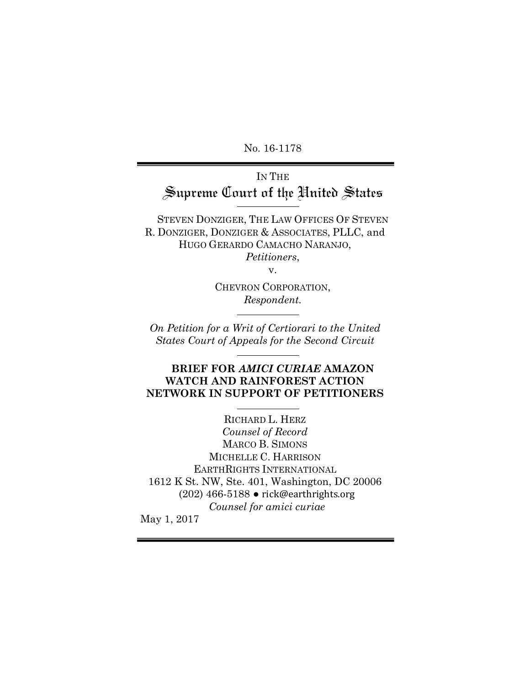No. 16-1178

# IN THE Supreme Court of the United States

STEVEN DONZIGER, THE LAW OFFICES OF STEVEN R. DONZIGER, DONZIGER & ASSOCIATES, PLLC, and HUGO GERARDO CAMACHO NARANJO, *Petitioners*,

v.

CHEVRON CORPORATION, *Respondent.*

*On Petition for a Writ of Certiorari to the United States Court of Appeals for the Second Circuit*

## **BRIEF FOR** *AMICI CURIAE* **AMAZON WATCH AND RAINFOREST ACTION NETWORK IN SUPPORT OF PETITIONERS**

RICHARD L. HERZ *Counsel of Record* MARCO B. SIMONS MICHELLE C. HARRISON EARTHRIGHTS INTERNATIONAL 1612 K St. NW, Ste. 401, Washington, DC 20006 (202) 466-5188 • rick@earthrights.org *Counsel for amici curiae* May 1, 2017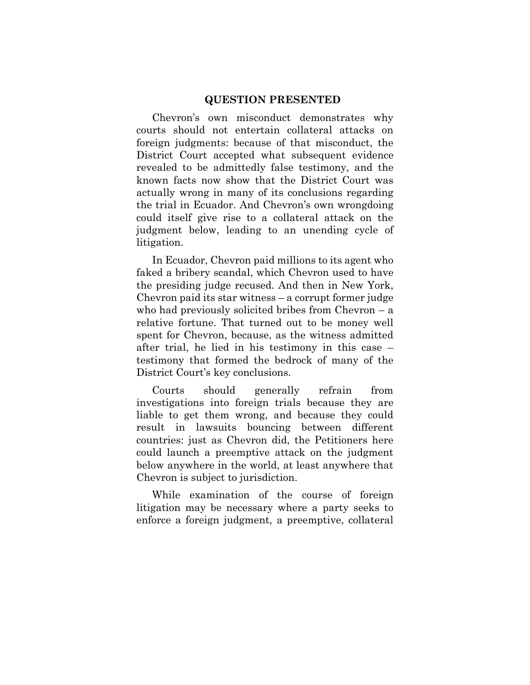#### **QUESTION PRESENTED**

Chevron's own misconduct demonstrates why courts should not entertain collateral attacks on foreign judgments: because of that misconduct, the District Court accepted what subsequent evidence revealed to be admittedly false testimony, and the known facts now show that the District Court was actually wrong in many of its conclusions regarding the trial in Ecuador. And Chevron's own wrongdoing could itself give rise to a collateral attack on the judgment below, leading to an unending cycle of litigation.

In Ecuador, Chevron paid millions to its agent who faked a bribery scandal, which Chevron used to have the presiding judge recused. And then in New York, Chevron paid its star witness  $-\alpha$  corrupt former judge who had previously solicited bribes from Chevron  $-a$ relative fortune. That turned out to be money well spent for Chevron, because, as the witness admitted after trial, he lied in his testimony in this case  $$ testimony that formed the bedrock of many of the District Court's key conclusions.

Courts should generally refrain from investigations into foreign trials because they are liable to get them wrong, and because they could result in lawsuits bouncing between different countries: just as Chevron did, the Petitioners here could launch a preemptive attack on the judgment below anywhere in the world, at least anywhere that Chevron is subject to jurisdiction.

While examination of the course of foreign litigation may be necessary where a party seeks to enforce a foreign judgment, a preemptive, collateral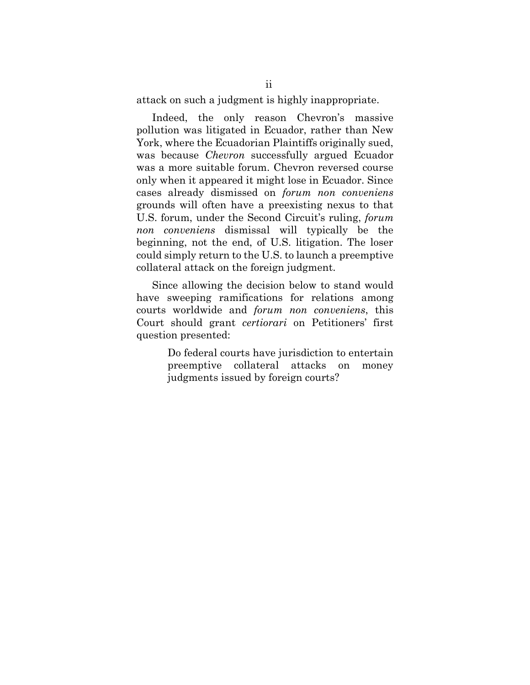attack on such a judgment is highly inappropriate.

Indeed, the only reason Chevron's massive pollution was litigated in Ecuador, rather than New York, where the Ecuadorian Plaintiffs originally sued, was because *Chevron* successfully argued Ecuador was a more suitable forum. Chevron reversed course only when it appeared it might lose in Ecuador. Since cases already dismissed on *forum non conveniens* grounds will often have a preexisting nexus to that U.S. forum, under the Second Circuit's ruling, *forum non conveniens* dismissal will typically be the beginning, not the end, of U.S. litigation. The loser could simply return to the U.S. to launch a preemptive collateral attack on the foreign judgment.

Since allowing the decision below to stand would have sweeping ramifications for relations among courts worldwide and *forum non conveniens*, this Court should grant *certiorari* on Petitioners' first question presented:

> Do federal courts have jurisdiction to entertain preemptive collateral attacks on money judgments issued by foreign courts?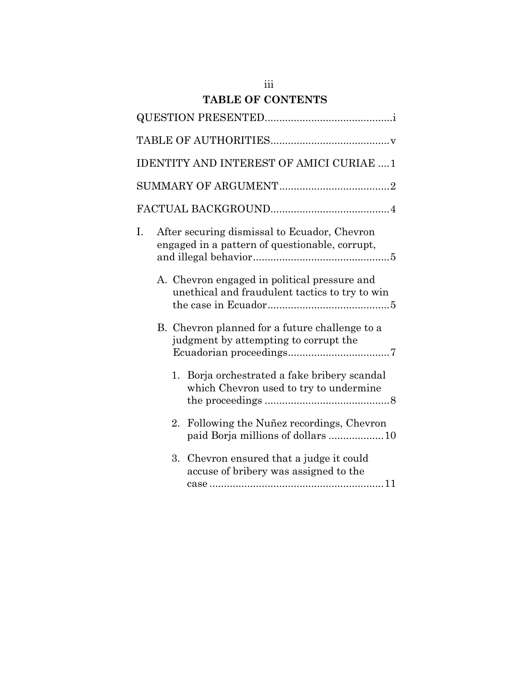## **TABLE OF CONTENTS**

|    |                                                                                                | IDENTITY AND INTEREST OF AMICI CURIAE  1                                                       |  |  |  |
|----|------------------------------------------------------------------------------------------------|------------------------------------------------------------------------------------------------|--|--|--|
|    |                                                                                                |                                                                                                |  |  |  |
|    |                                                                                                |                                                                                                |  |  |  |
| I. | After securing dismissal to Ecuador, Chevron<br>engaged in a pattern of questionable, corrupt, |                                                                                                |  |  |  |
|    |                                                                                                | A. Chevron engaged in political pressure and<br>unethical and fraudulent tactics to try to win |  |  |  |
|    | B. Chevron planned for a future challenge to a<br>judgment by attempting to corrupt the        |                                                                                                |  |  |  |
|    |                                                                                                | 1. Borja orchestrated a fake bribery scandal<br>which Chevron used to try to undermine         |  |  |  |
|    | 2.                                                                                             | Following the Nuñez recordings, Chevron<br>paid Borja millions of dollars  10                  |  |  |  |
|    | 3.                                                                                             | Chevron ensured that a judge it could<br>accuse of bribery was assigned to the                 |  |  |  |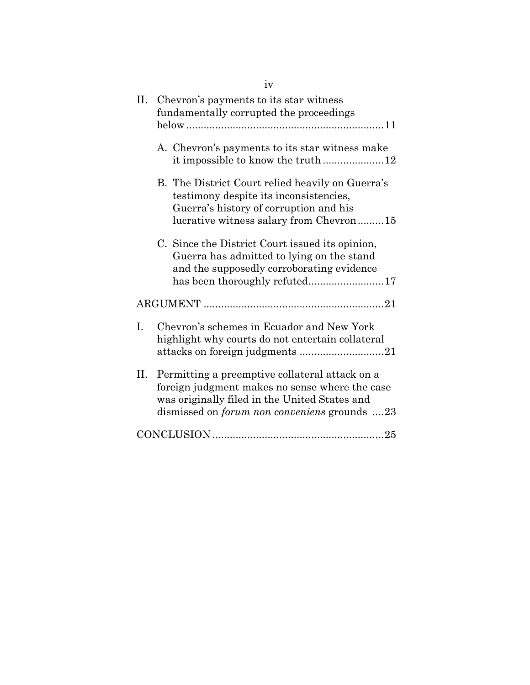| iv                                                                                                                                                                                                      |  |  |  |
|---------------------------------------------------------------------------------------------------------------------------------------------------------------------------------------------------------|--|--|--|
| Η.<br>Chevron's payments to its star witness<br>fundamentally corrupted the proceedings                                                                                                                 |  |  |  |
| A. Chevron's payments to its star witness make<br>it impossible to know the truth12                                                                                                                     |  |  |  |
| B. The District Court relied heavily on Guerra's<br>testimony despite its inconsistencies,<br>Guerra's history of corruption and his<br>lucrative witness salary from Chevron15                         |  |  |  |
| C. Since the District Court issued its opinion,<br>Guerra has admitted to lying on the stand<br>and the supposedly corroborating evidence<br>has been thoroughly refuted17                              |  |  |  |
|                                                                                                                                                                                                         |  |  |  |
| I.<br>Chevron's schemes in Ecuador and New York<br>highlight why courts do not entertain collateral                                                                                                     |  |  |  |
| П.<br>Permitting a preemptive collateral attack on a<br>foreign judgment makes no sense where the case<br>was originally filed in the United States and<br>dismissed on forum non conveniens grounds 23 |  |  |  |
|                                                                                                                                                                                                         |  |  |  |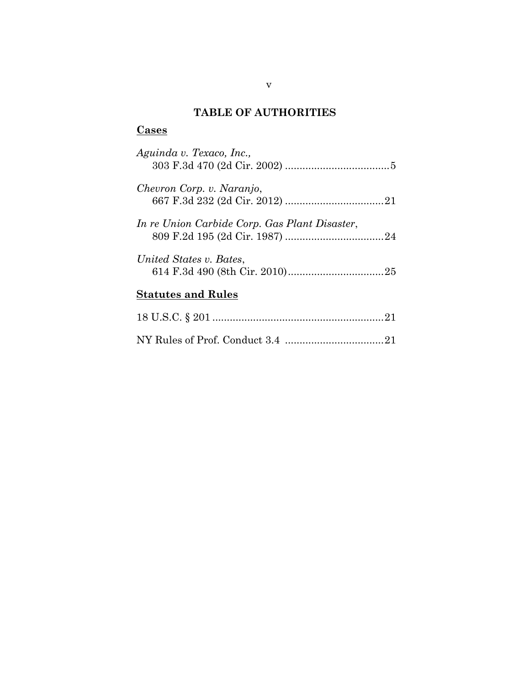## **TABLE OF AUTHORITIES**

# **Cases**

| Aguinda v. Texaco, Inc.,                      |
|-----------------------------------------------|
| Chevron Corp. v. Naranjo,                     |
| In re Union Carbide Corp. Gas Plant Disaster, |
| United States v. Bates,                       |
| <b>Statutes and Rules</b>                     |
|                                               |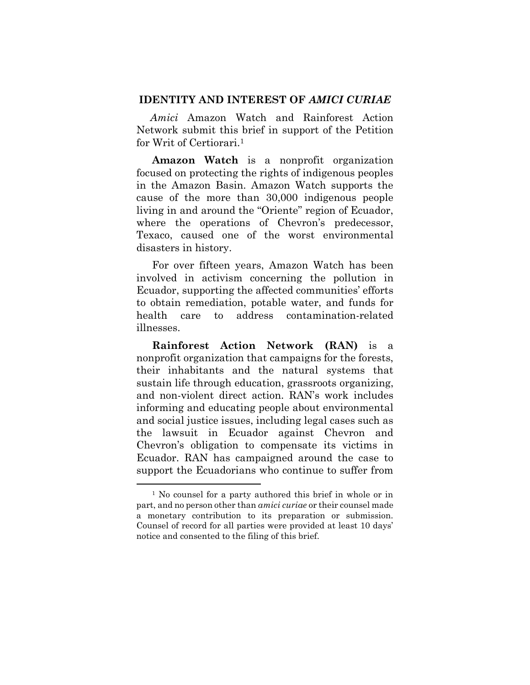#### **IDENTITY AND INTEREST OF** *AMICI CURIAE*

*Amici* Amazon Watch and Rainforest Action Network submit this brief in support of the Petition for Writ of Certiorari.1

**Amazon Watch** is a nonprofit organization focused on protecting the rights of indigenous peoples in the Amazon Basin. Amazon Watch supports the cause of the more than 30,000 indigenous people living in and around the "Oriente" region of Ecuador, where the operations of Chevron's predecessor, Texaco, caused one of the worst environmental disasters in history.

For over fifteen years, Amazon Watch has been involved in activism concerning the pollution in Ecuador, supporting the affected communities' efforts to obtain remediation, potable water, and funds for health care to address contamination-related illnesses.

**Rainforest Action Network (RAN)** is a nonprofit organization that campaigns for the forests, their inhabitants and the natural systems that sustain life through education, grassroots organizing, and non-violent direct action. RAN's work includes informing and educating people about environmental and social justice issues, including legal cases such as the lawsuit in Ecuador against Chevron and Chevron's obligation to compensate its victims in Ecuador. RAN has campaigned around the case to support the Ecuadorians who continue to suffer from

 $\overline{a}$ 

<sup>1</sup> No counsel for a party authored this brief in whole or in part, and no person other than *amici curiae* or their counsel made a monetary contribution to its preparation or submission. Counsel of record for all parties were provided at least 10 days' notice and consented to the filing of this brief.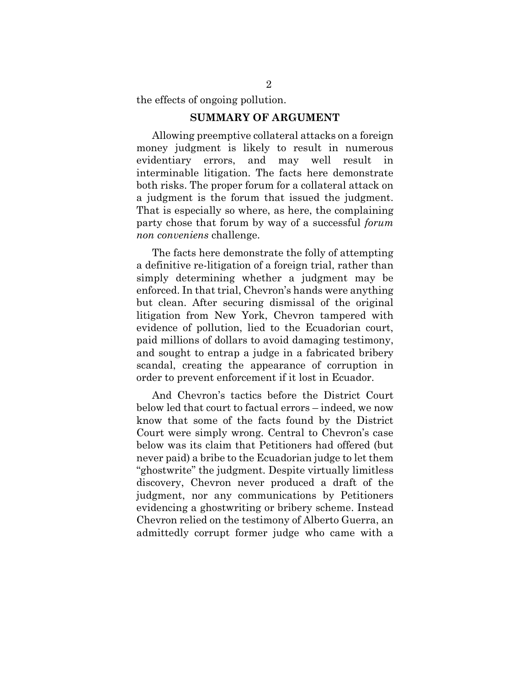the effects of ongoing pollution.

#### **SUMMARY OF ARGUMENT**

Allowing preemptive collateral attacks on a foreign money judgment is likely to result in numerous evidentiary errors, and may well result in interminable litigation. The facts here demonstrate both risks. The proper forum for a collateral attack on a judgment is the forum that issued the judgment. That is especially so where, as here, the complaining party chose that forum by way of a successful *forum non conveniens* challenge.

The facts here demonstrate the folly of attempting a definitive re-litigation of a foreign trial, rather than simply determining whether a judgment may be enforced. In that trial, Chevron's hands were anything but clean. After securing dismissal of the original litigation from New York, Chevron tampered with evidence of pollution, lied to the Ecuadorian court, paid millions of dollars to avoid damaging testimony, and sought to entrap a judge in a fabricated bribery scandal, creating the appearance of corruption in order to prevent enforcement if it lost in Ecuador.

And Chevron's tactics before the District Court below led that court to factual errors – indeed, we now know that some of the facts found by the District Court were simply wrong. Central to Chevron's case below was its claim that Petitioners had offered (but never paid) a bribe to the Ecuadorian judge to let them "ghostwrite" the judgment. Despite virtually limitless discovery, Chevron never produced a draft of the judgment, nor any communications by Petitioners evidencing a ghostwriting or bribery scheme. Instead Chevron relied on the testimony of Alberto Guerra, an admittedly corrupt former judge who came with a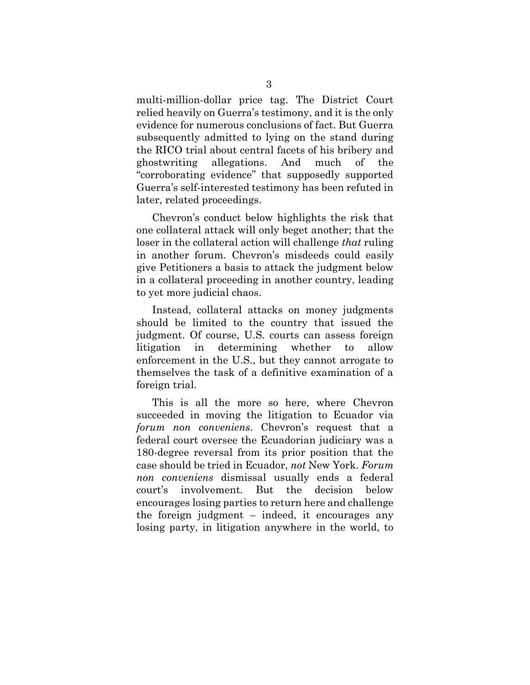multi-million-dollar price tag. The District Court relied heavily on Guerra's testimony, and it is the only evidence for numerous conclusions of fact. But Guerra subsequently admitted to lying on the stand during the RICO trial about central facets of his bribery and ghostwriting allegations. And much of the "corroborating evidence" that supposedly supported Guerra's self-interested testimony has been refuted in later, related proceedings.

Chevron's conduct below highlights the risk that one collateral attack will only beget another; that the loser in the collateral action will challenge *that* ruling in another forum. Chevron's misdeeds could easily give Petitioners a basis to attack the judgment below in a collateral proceeding in another country, leading to yet more judicial chaos.

Instead, collateral attacks on money judgments should be limited to the country that issued the judgment. Of course, U.S. courts can assess foreign litigation in determining whether to allow enforcement in the U.S., but they cannot arrogate to themselves the task of a definitive examination of a foreign trial.

This is all the more so here, where Chevron succeeded in moving the litigation to Ecuador via *forum non conveniens.* Chevron's request that a federal court oversee the Ecuadorian judiciary was a 180-degree reversal from its prior position that the case should be tried in Ecuador, *not* New York. *Forum non conveniens* dismissal usually ends a federal court's involvement. But the decision below encourages losing parties to return here and challenge the foreign judgment  $-$  indeed, it encourages any losing party, in litigation anywhere in the world, to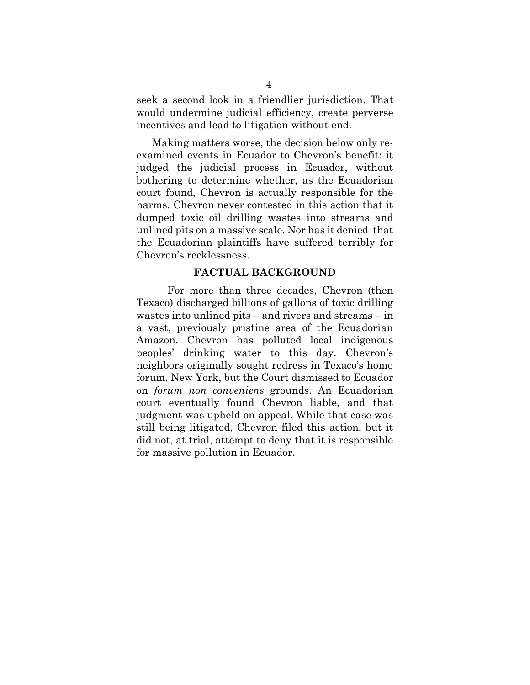seek a second look in a friendlier jurisdiction. That would undermine judicial efficiency, create perverse incentives and lead to litigation without end.

Making matters worse, the decision below only reexamined events in Ecuador to Chevron's benefit: it judged the judicial process in Ecuador, without bothering to determine whether, as the Ecuadorian court found, Chevron is actually responsible for the harms. Chevron never contested in this action that it dumped toxic oil drilling wastes into streams and unlined pits on a massive scale. Nor has it denied that the Ecuadorian plaintiffs have suffered terribly for Chevron's recklessness.

#### **FACTUAL BACKGROUND**

For more than three decades, Chevron (then Texaco) discharged billions of gallons of toxic drilling wastes into unlined pits  $-$  and rivers and streams  $-$  in a vast, previously pristine area of the Ecuadorian Amazon. Chevron has polluted local indigenous peoples' drinking water to this day. Chevron's neighbors originally sought redress in Texaco's home forum, New York, but the Court dismissed to Ecuador on *forum non conveniens* grounds. An Ecuadorian court eventually found Chevron liable, and that judgment was upheld on appeal. While that case was still being litigated, Chevron filed this action, but it did not, at trial, attempt to deny that it is responsible for massive pollution in Ecuador.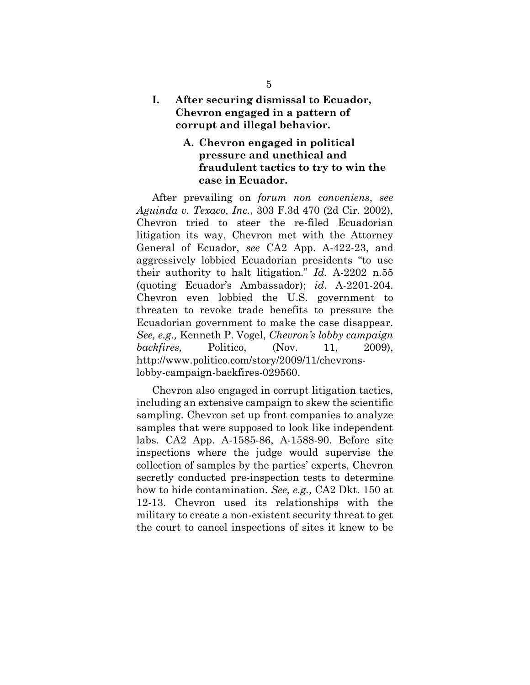#### **I. After securing dismissal to Ecuador, Chevron engaged in a pattern of corrupt and illegal behavior.**

## **A. Chevron engaged in political pressure and unethical and fraudulent tactics to try to win the case in Ecuador.**

After prevailing on *forum non conveniens*, *see Aguinda v. Texaco, Inc.*, 303 F.3d 470 (2d Cir. 2002), Chevron tried to steer the re-filed Ecuadorian litigation its way. Chevron met with the Attorney General of Ecuador, *see* CA2 App. A-422-23, and aggressively lobbied Ecuadorian presidents ´to use their authority to halt litigation."  $Id$ . A-2202 n.55 (quoting Ecuador·s Ambassador); *id*. A-2201-204. Chevron even lobbied the U.S. government to threaten to revoke trade benefits to pressure the Ecuadorian government to make the case disappear. *See, e.g.,* Kenneth P. Vogel, *Chevron's lobby campaign backfires,* Politico, (Nov. 11, 2009), http://www.politico.com/story/2009/11/chevronslobby-campaign-backfires-029560.

Chevron also engaged in corrupt litigation tactics, including an extensive campaign to skew the scientific sampling. Chevron set up front companies to analyze samples that were supposed to look like independent labs. CA2 App. A-1585-86, A-1588-90. Before site inspections where the judge would supervise the collection of samples by the parties' experts, Chevron secretly conducted pre-inspection tests to determine how to hide contamination. *See, e.g.,* CA2 Dkt. 150 at 12-13. Chevron used its relationships with the military to create a non-existent security threat to get the court to cancel inspections of sites it knew to be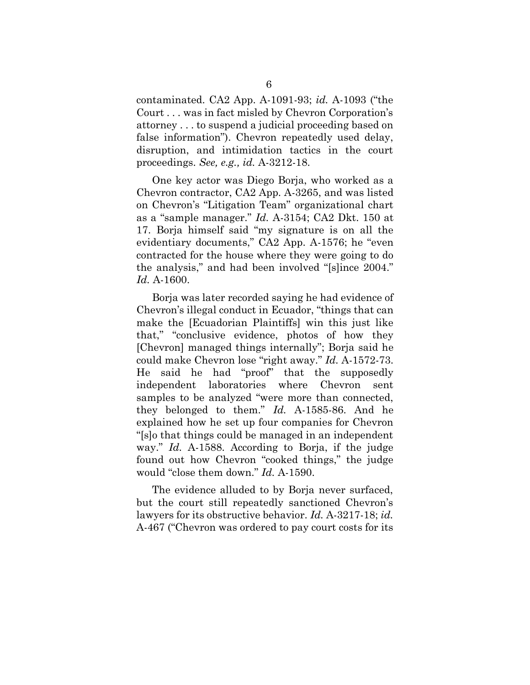contaminated. CA2 App. A-1091-93; *id.* A-1093 (´the Court ... was in fact misled by Chevron Corporation's attorney . . . to suspend a judicial proceeding based on false information"). Chevron repeatedly used delay, disruption, and intimidation tactics in the court proceedings. *See, e.g., id.* A-3212-18.

One key actor was Diego Borja, who worked as a Chevron contractor, CA2 App. A-3265, and was listed on Chevron's "Litigation Team" organizational chart as a "sample manager." *Id.* A-3154; CA2 Dkt. 150 at 17. Borja himself said "my signature is on all the evidentiary documents," CA2 App. A-1576; he "even contracted for the house where they were going to do the analysis," and had been involved "[s]ince 2004." *Id.* A-1600.

Borja was later recorded saying he had evidence of Chevron's illegal conduct in Ecuador, "things that can make the [Ecuadorian Plaintiffs] win this just like that," "conclusive evidence, photos of how they [Chevron] managed things internally"; Borja said he could make Chevron lose "right away." *Id.* A-1572-73. He said he had "proof" that the supposedly independent laboratories where Chevron sent samples to be analyzed "were more than connected, they belonged to them."  $Id.$  A-1585-86. And he explained how he set up four companies for Chevron ´[s]o that things could be managed in an independent way." *Id.* A-1588. According to Borja, if the judge found out how Chevron "cooked things," the judge would "close them down." *Id.* A-1590.

The evidence alluded to by Borja never surfaced, but the court still repeatedly sanctioned Chevron's lawyers for its obstructive behavior. *Id.* A-3217-18; *id.* A-467 ("Chevron was ordered to pay court costs for its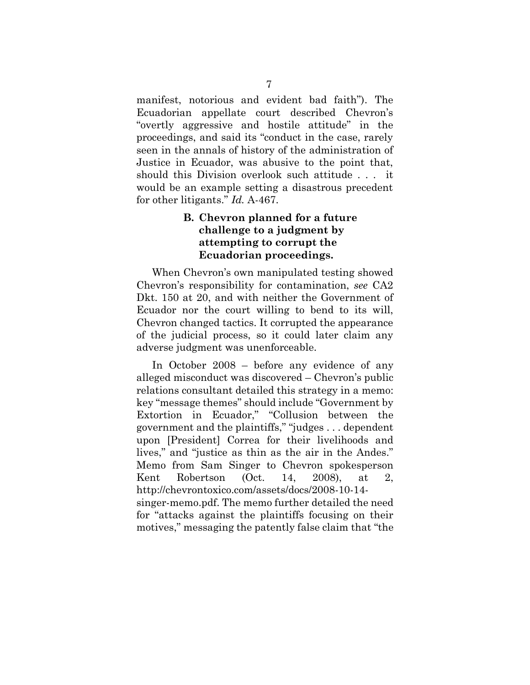manifest, notorious and evident bad faith"). The Ecuadorian appellate court described Chevron's ´overtl\ aggressive and hostile attitudeµ in the proceedings, and said its "conduct in the case, rarely seen in the annals of history of the administration of Justice in Ecuador, was abusive to the point that, should this Division overlook such attitude . . . it would be an example setting a disastrous precedent for other litigants." *Id.* A-467.

## **B. Chevron planned for a future challenge to a judgment by attempting to corrupt the Ecuadorian proceedings.**

When Chevron's own manipulated testing showed Chevron's responsibility for contamination, *see* CA2 Dkt. 150 at 20, and with neither the Government of Ecuador nor the court willing to bend to its will, Chevron changed tactics. It corrupted the appearance of the judicial process, so it could later claim any adverse judgment was unenforceable.

In October  $2008$  – before any evidence of any alleged misconduct was discovered  $-$  Chevron's public relations consultant detailed this strategy in a memo: key "message themes" should include "Government by Extortion in Ecuador," "Collusion between the government and the plaintiffs," "judges . . . dependent upon [President] Correa for their livelihoods and lives," and "justice as thin as the air in the Andes." Memo from Sam Singer to Chevron spokesperson Kent Robertson (Oct. 14, 2008), at 2, http://chevrontoxico.com/assets/docs/2008-10-14 singer-memo.pdf. The memo further detailed the need for ´attacks against the plaintiffs focusing on their motives," messaging the patently false claim that "the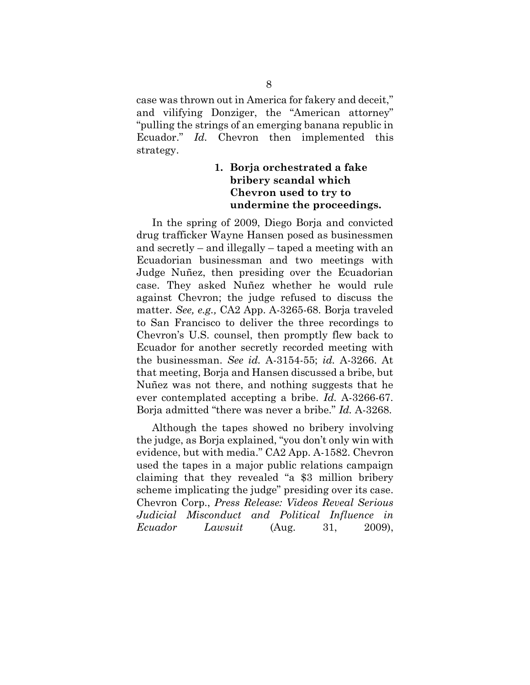case was thrown out in America for fakery and deceit," and vilifying Donziger, the "American attorney" ´pulling the strings of an emerging banana republic in Ecuador." *Id.* Chevron then implemented this strategy.

## **1. Borja orchestrated a fake bribery scandal which Chevron used to try to undermine the proceedings.**

In the spring of 2009, Diego Borja and convicted drug trafficker Wayne Hansen posed as businessmen and secretly  $-$  and illegally  $-$  taped a meeting with an Ecuadorian businessman and two meetings with Judge Nuñez, then presiding over the Ecuadorian case. They asked Nuñez whether he would rule against Chevron; the judge refused to discuss the matter. *See, e.g.,* CA2 App. A-3265-68. Borja traveled to San Francisco to deliver the three recordings to Chevron's U.S. counsel, then promptly flew back to Ecuador for another secretly recorded meeting with the businessman. *See id.* A-3154-55; *id.* A-3266. At that meeting, Borja and Hansen discussed a bribe, but Nuñez was not there, and nothing suggests that he ever contemplated accepting a bribe. *Id.* A-3266-67. Borja admitted "there was never a bribe." *Id.* A-3268.

Although the tapes showed no bribery involving the judge, as Borja explained, "you don't only win with evidence, but with media." CA2 App. A-1582. Chevron used the tapes in a major public relations campaign claiming that they revealed "a \$3 million bribery scheme implicating the judge" presiding over its case. Chevron Corp., *Press Release: Videos Reveal Serious Judicial Misconduct and Political Influence in Ecuador Lawsuit* (Aug. 31, 2009),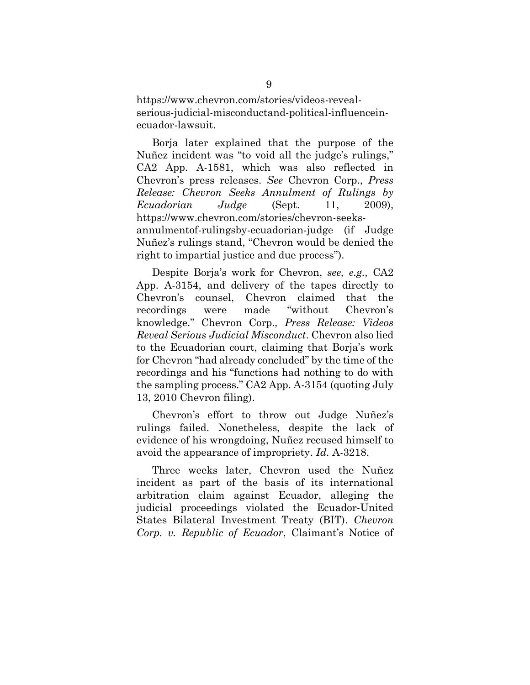https://www.chevron.com/stories/videos-revealserious-judicial-misconductand-political-influenceinecuador-lawsuit.

Borja later explained that the purpose of the Nuñez incident was "to void all the judge's rulings," CA2 App. A-1581, which was also reflected in Chevron·s press releases. *See* Chevron Corp., *Press Release: Chevron Seeks Annulment of Rulings by Ecuadorian Judge* (Sept. 11, 2009), https://www.chevron.com/stories/chevron-seeksannulmentof-rulingsby-ecuadorian-judge (if Judge Nuñez's rulings stand, "Chevron would be denied the right to impartial justice and due process".

Despite Borja·s work for Chevron, *see, e.g.,* CA2 App. A-3154, and delivery of the tapes directly to Chevron·s counsel, Chevron claimed that the recordings were made "without Chevron's knowledge.µ Chevron Corp.*, Press Release: Videos Reveal Serious Judicial Misconduct*. Chevron also lied to the Ecuadorian court, claiming that Borja's work for Chevron "had already concluded" by the time of the recordings and his "functions had nothing to do with the sampling process." CA2 App. A-3154 (quoting July 13, 2010 Chevron filing).

Chevron's effort to throw out Judge Nuñez's rulings failed. Nonetheless, despite the lack of evidence of his wrongdoing, Nuñez recused himself to avoid the appearance of impropriety. *Id.* A-3218.

Three weeks later, Chevron used the Nuñez incident as part of the basis of its international arbitration claim against Ecuador, alleging the judicial proceedings violated the Ecuador-United States Bilateral Investment Treaty (BIT). *Chevron Corp. v. Republic of Ecuador, Claimant's Notice of*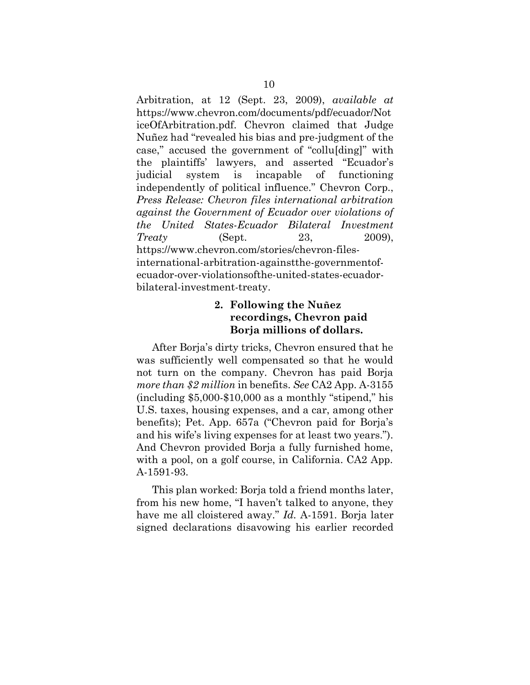Arbitration, at 12 (Sept. 23, 2009), *available at* https://www.chevron.com/documents/pdf/ecuador/Not iceOfArbitration.pdf. Chevron claimed that Judge Nuñez had ´revealed his bias and pre-judgment of the case," accused the government of "collu[ding]" with the plaintiffs' lawyers, and asserted "Ecuador's judicial system is incapable of functioning independently of political influence." Chevron Corp., *Press Release: Chevron files international arbitration against the Government of Ecuador over violations of the United States-Ecuador Bilateral Investment Treaty* (Sept. 23, 2009), https://www.chevron.com/stories/chevron-filesinternational-arbitration-againstthe-governmentofecuador-over-violationsofthe-united-states-ecuadorbilateral-investment-treaty.

#### **2. Following the Nuñez recordings, Chevron paid Borja millions of dollars.**

After Borja's dirty tricks, Chevron ensured that he was sufficiently well compensated so that he would not turn on the company. Chevron has paid Borja *more than \$2 million* in benefits. *See* CA2 App. A-3155  $(including $5,000-$10,000 as a monthly "stipend," his"$ U.S. taxes, housing expenses, and a car, among other benefits); Pet. App. 657a ("Chevron paid for Borja's and his wife's living expenses for at least two years."). And Chevron provided Borja a fully furnished home, with a pool, on a golf course, in California. CA2 App. A-1591-93.

This plan worked: Borja told a friend months later, from his new home, "I haven't talked to anyone, they have me all cloistered away." *Id.* A-1591. Borja later signed declarations disavowing his earlier recorded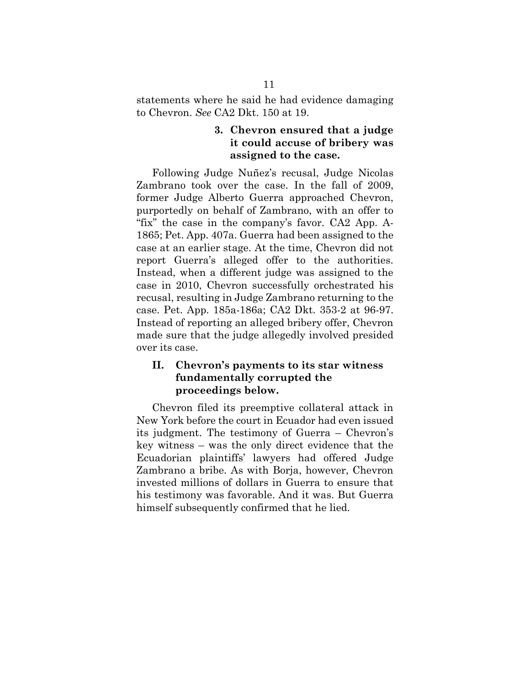statements where he said he had evidence damaging to Chevron. *See* CA2 Dkt. 150 at 19.

#### **3. Chevron ensured that a judge it could accuse of bribery was assigned to the case.**

Following Judge Nuñez's recusal, Judge Nicolas Zambrano took over the case. In the fall of 2009, former Judge Alberto Guerra approached Chevron, purportedly on behalf of Zambrano, with an offer to "fix" the case in the company's favor. CA2 App. A-1865; Pet. App. 407a. Guerra had been assigned to the case at an earlier stage. At the time, Chevron did not report Guerra's alleged offer to the authorities. Instead, when a different judge was assigned to the case in 2010, Chevron successfully orchestrated his recusal, resulting in Judge Zambrano returning to the case. Pet. App. 185a-186a; CA2 Dkt. 353-2 at 96-97. Instead of reporting an alleged bribery offer, Chevron made sure that the judge allegedly involved presided over its case.

## **II.** Cheyron's payments to its star witness **fundamentally corrupted the proceedings below.**

Chevron filed its preemptive collateral attack in New York before the court in Ecuador had even issued its judgment. The testimony of Guerra  $-$  Chevron's  $key$  witness – was the only direct evidence that the Ecuadorian plaintiffs' lawyers had offered Judge Zambrano a bribe. As with Borja, however, Chevron invested millions of dollars in Guerra to ensure that his testimony was favorable. And it was. But Guerra himself subsequently confirmed that he lied.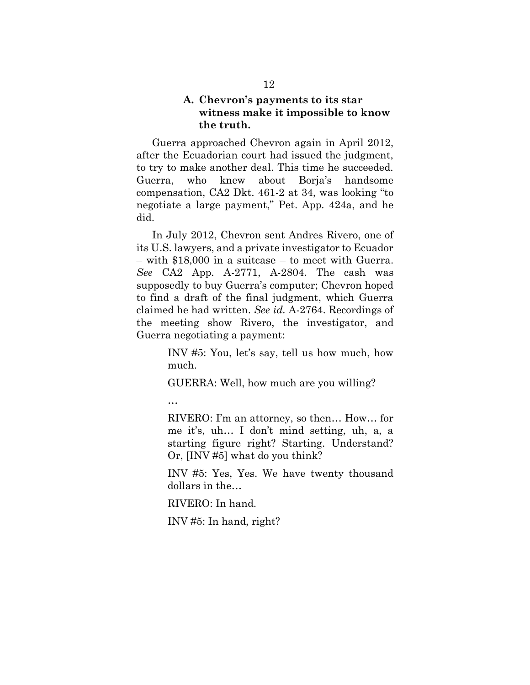#### A. **Chevron**'s payments to its star **witness make it impossible to know the truth.**

Guerra approached Chevron again in April 2012, after the Ecuadorian court had issued the judgment, to try to make another deal. This time he succeeded. Guerra, who knew about Borja's handsome compensation, CA2 Dkt. 461-2 at 34, was looking ´to negotiate a large payment," Pet. App. 424a, and he did.

In July 2012, Chevron sent Andres Rivero, one of its U.S. lawyers, and a private investigator to Ecuador  $-$  with \$18,000 in a suitcase  $-$  to meet with Guerra. *See* CA2 App. A-2771, A-2804. The cash was supposedly to buy Guerra's computer; Chevron hoped to find a draft of the final judgment, which Guerra claimed he had written. *See id.* A-2764. Recordings of the meeting show Rivero, the investigator, and Guerra negotiating a payment:

> INV #5: You, let's say, tell us how much, how much.

GUERRA: Well, how much are you willing?

«

RIVERO: I'm an attorney, so then... How... for me it's, uh... I don't mind setting, uh, a, a starting figure right? Starting. Understand? Or, [INV #5] what do you think?

INV #5: Yes, Yes. We have twenty thousand dollars in the...

RIVERO: In hand.

INV #5: In hand, right?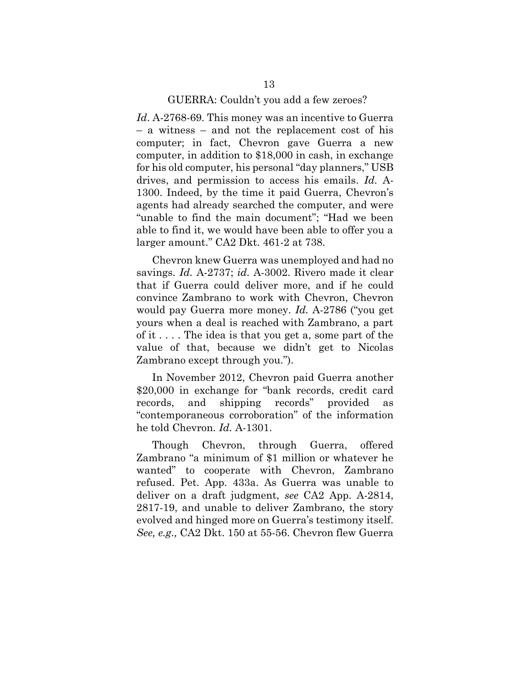#### GUERRA: Couldn't you add a few zeroes?

*Id*. A-2768-69. This money was an incentive to Guerra  $-$  a witness  $-$  and not the replacement cost of his computer; in fact, Chevron gave Guerra a new computer, in addition to \$18,000 in cash, in exchange for his old computer, his personal "day planners," USB drives, and permission to access his emails. *Id.* A-1300. Indeed, by the time it paid Guerra, Chevron's agents had already searched the computer, and were "unable to find the main document"; "Had we been able to find it, we would have been able to offer you a larger amount." CA2 Dkt. 461-2 at 738.

Chevron knew Guerra was unemployed and had no savings. *Id.* A-2737; *id.* A-3002. Rivero made it clear that if Guerra could deliver more, and if he could convince Zambrano to work with Chevron, Chevron would pay Guerra more money. *Id.* A-2786 ("you get yours when a deal is reached with Zambrano, a part of it . . . . The idea is that you get a, some part of the value of that, because we didn't get to Nicolas Zambrano except through you.".

In November 2012, Chevron paid Guerra another \$20,000 in exchange for "bank records, credit card records, and shipping records" provided as "contemporaneous corroboration" of the information he told Chevron. *Id.* A-1301.

Though Chevron, through Guerra, offered Zambrano ´a minimum of \$1 million or whatever he wanted" to cooperate with Chevron, Zambrano refused. Pet. App. 433a. As Guerra was unable to deliver on a draft judgment, *see* CA2 App. A-2814, 2817-19, and unable to deliver Zambrano, the story evolved and hinged more on Guerra's testimony itself. *See, e.g.,* CA2 Dkt. 150 at 55-56. Chevron flew Guerra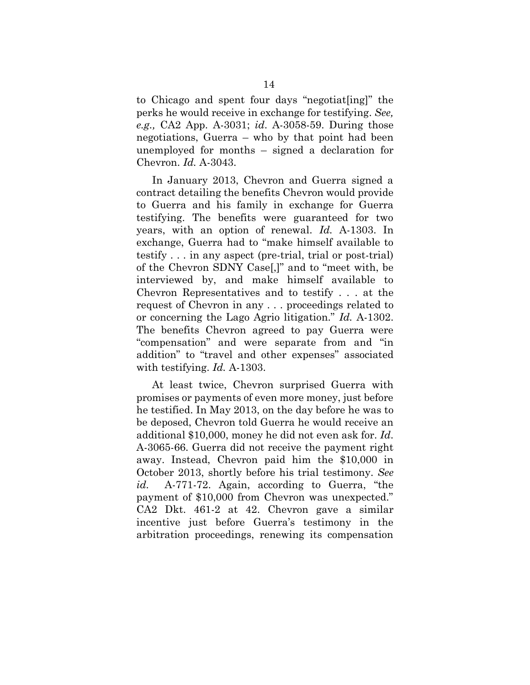to Chicago and spent four days "negotiat [ing]" the perks he would receive in exchange for testifying. *See, e.g.,* CA2 App. A-3031; *id*. A-3058-59. During those negotiations, Guerra  $-$  who by that point had been unemployed for months  $-$  signed a declaration for Chevron. *Id.* A-3043.

In January 2013, Chevron and Guerra signed a contract detailing the benefits Chevron would provide to Guerra and his family in exchange for Guerra testifying. The benefits were guaranteed for two years, with an option of renewal. *Id.* A-1303. In exchange, Guerra had to "make himself available to testify . . . in any aspect (pre-trial, trial or post-trial) of the Chevron SDNY Case[,]" and to "meet with, be interviewed by, and make himself available to Chevron Representatives and to testify . . . at the request of Chevron in any . . . proceedings related to or concerning the Lago Agrio litigation." *Id.* A-1302. The benefits Chevron agreed to pay Guerra were "compensation" and were separate from and "in addition" to "travel and other expenses" associated with testifying. *Id.* A-1303.

At least twice, Chevron surprised Guerra with promises or payments of even more money, just before he testified. In May 2013, on the day before he was to be deposed, Chevron told Guerra he would receive an additional \$10,000, money he did not even ask for. *Id*. A-3065-66. Guerra did not receive the payment right away. Instead, Chevron paid him the \$10,000 in October 2013, shortly before his trial testimony. *See* id. A-771-72. Again, according to Guerra, "the payment of  $$10,000$  from Chevron was unexpected." CA2 Dkt. 461-2 at 42. Chevron gave a similar incentive just before Guerra's testimony in the arbitration proceedings, renewing its compensation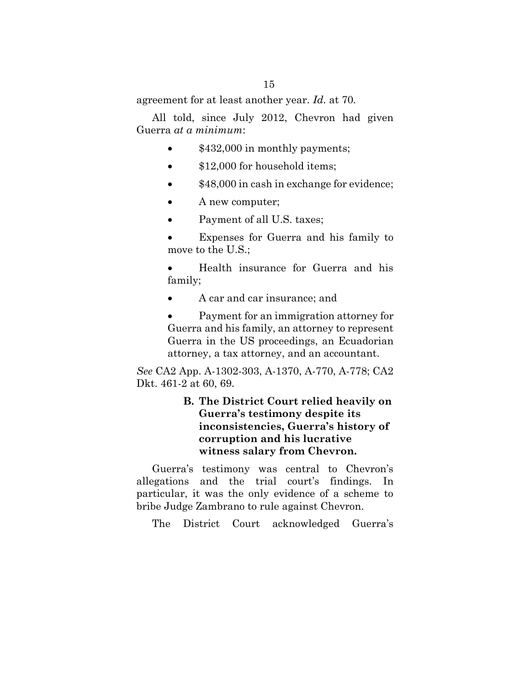agreement for at least another year. *Id.* at 70*.*

All told, since July 2012, Chevron had given Guerra *at a minimum*:

- \$432,000 in monthly payments;
- \$12,000 for household items;
- $$48,000$  in cash in exchange for evidence;
- $\bullet$  A new computer;
- Payment of all U.S. taxes;

Expenses for Guerra and his family to move to the U.S.;

Health insurance for Guerra and his family;

A car and car insurance; and

Payment for an immigration attorney for Guerra and his family, an attorney to represent Guerra in the US proceedings, an Ecuadorian attorney, a tax attorney, and an accountant.

*See* CA2 App. A-1302-303, A-1370, A-770, A-778; CA2 Dkt. 461-2 at 60, 69.

## **B. The District Court relied heavily on Guerra's testimony despite its**  $incons$ **istencies**, Guerra's history of **corruption and his lucrative witness salary from Chevron.**

Guerra's testimony was central to Chevron's allegations and the trial court's findings. In particular, it was the only evidence of a scheme to bribe Judge Zambrano to rule against Chevron.

The District Court acknowledged Guerra's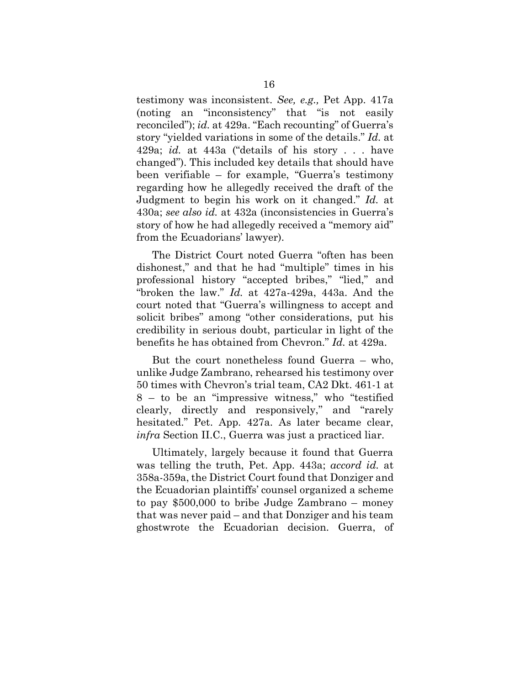testimony was inconsistent. *See, e.g.,* Pet App. 417a (noting an "inconsistency" that "is not easily reconciled"); *id.* at 429a. "Each recounting" of Guerra's story "yielded variations in some of the details." *Id.* at 429a; *id.* at 443a ("details of his story . . . have changed"). This included key details that should have been verifiable  $-$  for example, "Guerra's testimony regarding how he allegedly received the draft of the Judgment to begin his work on it changed." *Id.* at 430a; *see also id.* at 432a (inconsistencies in Guerra·s story of how he had allegedly received a "memory aid" from the Ecuadorians' lawyer).

The District Court noted Guerra "often has been dishonest," and that he had "multiple" times in his professional history "accepted bribes," "lied," and ´broken the law.µ *Id.* at 427a-429a, 443a. And the court noted that "Guerra's willingness to accept and solicit bribes" among "other considerations, put his credibility in serious doubt, particular in light of the benefits he has obtained from Chevron." *Id.* at 429a.

But the court nonetheless found Guerra  $-$  who, unlike Judge Zambrano, rehearsed his testimony over 50 times with Chevron's trial team, CA2 Dkt. 461-1 at  $8 -$  to be an "impressive witness," who "testified clearly, directly and responsively," and "rarely hesitated." Pet. App. 427a. As later became clear, *infra* Section II.C., Guerra was just a practiced liar.

Ultimately, largely because it found that Guerra was telling the truth, Pet. App. 443a; *accord id.* at 358a-359a, the District Court found that Donziger and the Ecuadorian plaintiffs' counsel organized a scheme to pay  $$500,000$  to bribe Judge Zambrano – money that was never paid – and that Donziger and his team ghostwrote the Ecuadorian decision. Guerra, of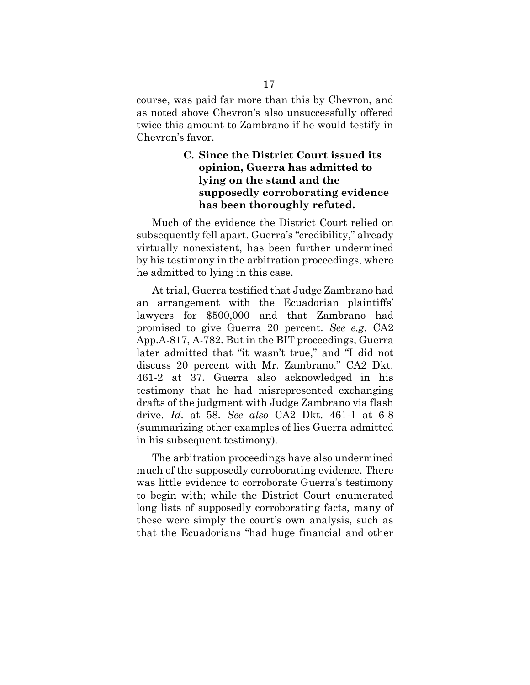course, was paid far more than this by Chevron, and as noted above Chevron's also unsuccessfully offered twice this amount to Zambrano if he would testify in Chevron's favor.

## **C. Since the District Court issued its opinion, Guerra has admitted to lying on the stand and the supposedly corroborating evidence has been thoroughly refuted.**

Much of the evidence the District Court relied on subsequently fell apart. Guerra's "credibility," already virtually nonexistent, has been further undermined by his testimony in the arbitration proceedings, where he admitted to lying in this case.

At trial, Guerra testified that Judge Zambrano had an arrangement with the Ecuadorian plaintiffs' lawyers for \$500,000 and that Zambrano had promised to give Guerra 20 percent. *See e.g.* CA2 App.A-817, A-782. But in the BIT proceedings, Guerra later admitted that "it wasn't true," and "I did not discuss 20 percent with Mr. Zambrano." CA2 Dkt. 461-2 at 37. Guerra also acknowledged in his testimony that he had misrepresented exchanging drafts of the judgment with Judge Zambrano via flash drive. *Id.* at 58. *See also* CA2 Dkt. 461-1 at 6-8 (summarizing other examples of lies Guerra admitted in his subsequent testimony).

The arbitration proceedings have also undermined much of the supposedly corroborating evidence. There was little evidence to corroborate Guerra's testimony to begin with; while the District Court enumerated long lists of supposedly corroborating facts, many of these were simply the court's own analysis, such as that the Ecuadorians "had huge financial and other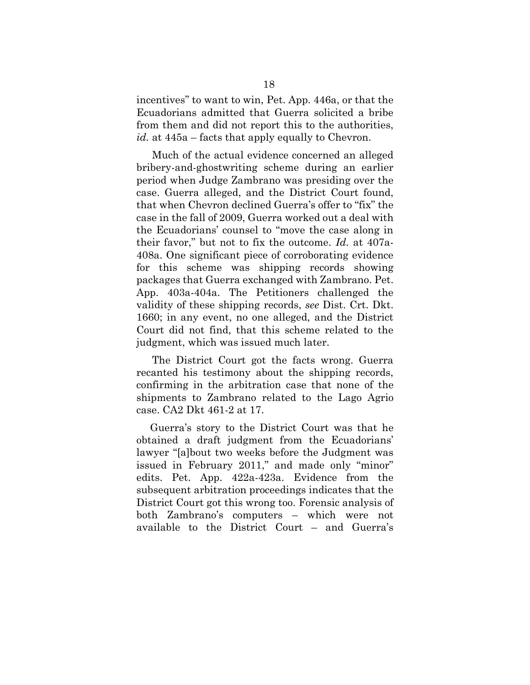incentives" to want to win, Pet. App. 446a, or that the Ecuadorians admitted that Guerra solicited a bribe from them and did not report this to the authorities, *id.* at  $445a$  – facts that apply equally to Chevron.

Much of the actual evidence concerned an alleged bribery-and-ghostwriting scheme during an earlier period when Judge Zambrano was presiding over the case. Guerra alleged, and the District Court found, that when Chevron declined Guerra's offer to "fix" the case in the fall of 2009, Guerra worked out a deal with the Ecuadorians' counsel to "move the case along in their favor," but not to fix the outcome.  $Id$ . at  $407a$ -408a. One significant piece of corroborating evidence for this scheme was shipping records showing packages that Guerra exchanged with Zambrano. Pet. App. 403a-404a. The Petitioners challenged the validity of these shipping records, *see* Dist. Crt. Dkt. 1660; in any event, no one alleged, and the District Court did not find, that this scheme related to the judgment, which was issued much later.

The District Court got the facts wrong. Guerra recanted his testimony about the shipping records, confirming in the arbitration case that none of the shipments to Zambrano related to the Lago Agrio case. CA2 Dkt 461-2 at 17.

Guerra's story to the District Court was that he obtained a draft judgment from the Ecuadorians· lawyer "[a]bout two weeks before the Judgment was issued in February  $2011$ ," and made only "minor" edits. Pet. App. 422a-423a. Evidence from the subsequent arbitration proceedings indicates that the District Court got this wrong too. Forensic analysis of both Zambrano's computers – which were not available to the District Court  $-$  and Guerra's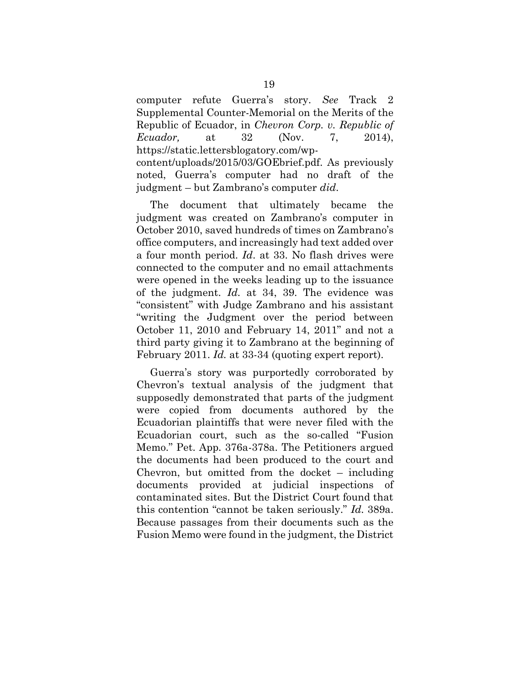computer refute Guerra·s story. *See* Track 2 Supplemental Counter-Memorial on the Merits of the Republic of Ecuador, in *Chevron Corp. v. Republic of Ecuador,* at 32 (Nov. 7, 2014), https://static.lettersblogatory.com/wp-

content/uploads/2015/03/GOEbrief.pdf. As previously noted, Guerra's computer had no draft of the judgment ² but Zambrano·s computer *did*.

The document that ultimately became the judgment was created on Zambrano's computer in October 2010, saved hundreds of times on Zambrano's office computers, and increasingly had text added over a four month period. *Id*. at 33. No flash drives were connected to the computer and no email attachments were opened in the weeks leading up to the issuance of the judgment. *Id.* at 34, 39. The evidence was ´consistentµ with Judge Zambrano and his assistant ´writing the Judgment over the period between October 11, 2010 and February 14, 2011" and not a third party giving it to Zambrano at the beginning of February 2011. *Id.* at 33-34 (quoting expert report).

Guerra's story was purportedly corroborated by Chevron's textual analysis of the judgment that supposedly demonstrated that parts of the judgment were copied from documents authored by the Ecuadorian plaintiffs that were never filed with the Ecuadorian court, such as the so-called ´Fusion Memo." Pet. App. 376a-378a. The Petitioners argued the documents had been produced to the court and Chevron, but omitted from the docket  $-$  including documents provided at judicial inspections of contaminated sites. But the District Court found that this contention "cannot be taken seriously." *Id.* 389a. Because passages from their documents such as the Fusion Memo were found in the judgment, the District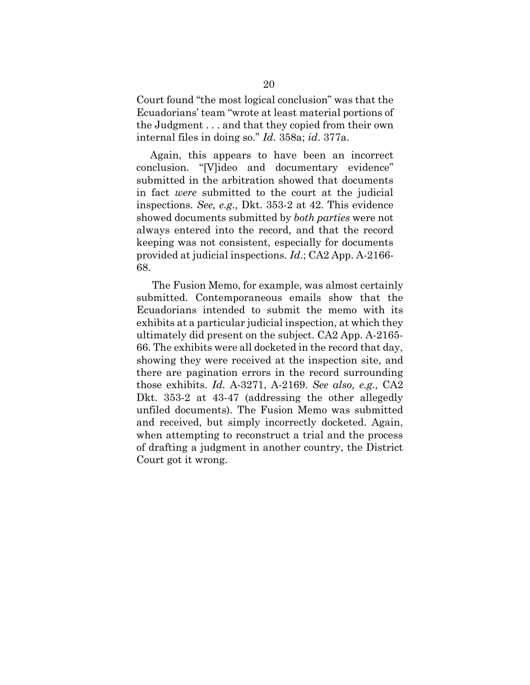Court found "the most logical conclusion" was that the Ecuadorians' team "wrote at least material portions of the Judgment . . . and that they copied from their own internal files in doing so.µ *Id.* 358a; *id*. 377a.

Again, this appears to have been an incorrect conclusion. "[V]ideo and documentary evidence" submitted in the arbitration showed that documents in fact *were* submitted to the court at the judicial inspections. *See, e.g.,* Dkt. 353-2 at 42. This evidence showed documents submitted by *both parties* were not always entered into the record, and that the record keeping was not consistent, especially for documents provided at judicial inspections. *Id*.; CA2 App. A-2166- 68.

The Fusion Memo, for example, was almost certainly submitted. Contemporaneous emails show that the Ecuadorians intended to submit the memo with its exhibits at a particular judicial inspection, at which they ultimately did present on the subject. CA2 App. A-2165- 66. The exhibits were all docketed in the record that day, showing they were received at the inspection site, and there are pagination errors in the record surrounding those exhibits. *Id.* A-3271, A-2169. *See also, e.g.,* CA2 Dkt. 353-2 at 43-47 (addressing the other allegedly unfiled documents). The Fusion Memo was submitted and received, but simply incorrectly docketed. Again, when attempting to reconstruct a trial and the process of drafting a judgment in another country, the District Court got it wrong.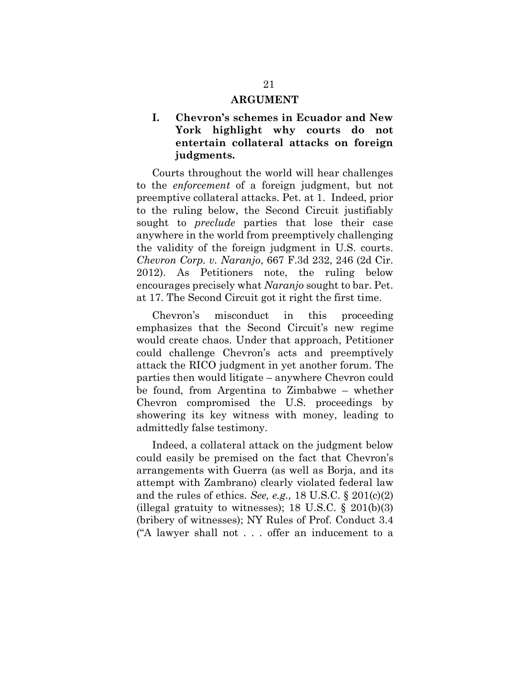#### **ARGUMENT**

## **I.** Cheyron's schemes in Ecuador and New **York highlight why courts do not entertain collateral attacks on foreign judgments.**

Courts throughout the world will hear challenges to the *enforcement* of a foreign judgment, but not preemptive collateral attacks. Pet. at 1. Indeed, prior to the ruling below, the Second Circuit justifiably sought to *preclude* parties that lose their case anywhere in the world from preemptively challenging the validity of the foreign judgment in U.S. courts. *Chevron Corp. v. Naranjo*, 667 F.3d 232, 246 (2d Cir. 2012). As Petitioners note, the ruling below encourages precisely what *Naranjo* sought to bar. Pet. at 17. The Second Circuit got it right the first time.

Chevron's misconduct in this proceeding emphasizes that the Second Circuit's new regime would create chaos. Under that approach, Petitioner could challenge Chevron's acts and preemptively attack the RICO judgment in yet another forum. The  $parties$  then would litigate  $-$  anywhere Chevron could be found, from Argentina to Zimbabwe  $-$  whether Chevron compromised the U.S. proceedings by showering its key witness with money, leading to admittedly false testimony.

Indeed, a collateral attack on the judgment below could easily be premised on the fact that Chevron's arrangements with Guerra (as well as Borja, and its attempt with Zambrano) clearly violated federal law and the rules of ethics. *See, e.g.,* 18 U.S.C. § 201(c)(2) (illegal gratuity to witnesses); 18 U.S.C.  $\S$  201(b)(3) (bribery of witnesses); NY Rules of Prof. Conduct 3.4 ( $A$  lawyer shall not . . . offer an inducement to a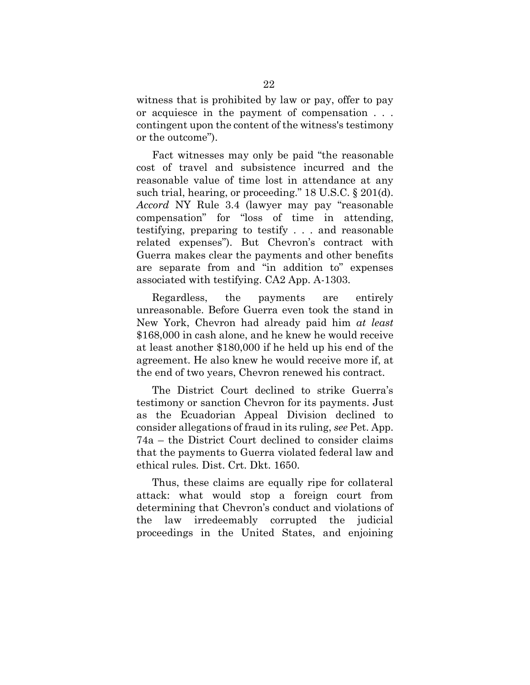witness that is prohibited by law or pay, offer to pay or acquiesce in the payment of compensation . . . contingent upon the content of the witness's testimony or the outcome").

Fact witnesses may only be paid "the reasonable" cost of travel and subsistence incurred and the reasonable value of time lost in attendance at any such trial, hearing, or proceeding."  $18 \text{ U.S.C.}$   $\S 201(d)$ . *Accord* NY Rule 3.4 (lawyer may pay "reasonable compensation" for "loss of time in attending, testifying, preparing to testify . . . and reasonable related expenses"). But Chevron's contract with Guerra makes clear the payments and other benefits are separate from and "in addition to" expenses associated with testifying. CA2 App. A-1303.

Regardless, the payments are entirely unreasonable. Before Guerra even took the stand in New York, Chevron had already paid him *at least* \$168,000 in cash alone, and he knew he would receive at least another \$180,000 if he held up his end of the agreement. He also knew he would receive more if, at the end of two years, Chevron renewed his contract.

The District Court declined to strike Guerra's testimony or sanction Chevron for its payments. Just as the Ecuadorian Appeal Division declined to consider allegations of fraud in its ruling, *see* Pet. App. 74a – the District Court declined to consider claims that the payments to Guerra violated federal law and ethical rules*.* Dist. Crt. Dkt. 1650.

Thus, these claims are equally ripe for collateral attack: what would stop a foreign court from determining that Chevron's conduct and violations of the law irredeemably corrupted the judicial proceedings in the United States, and enjoining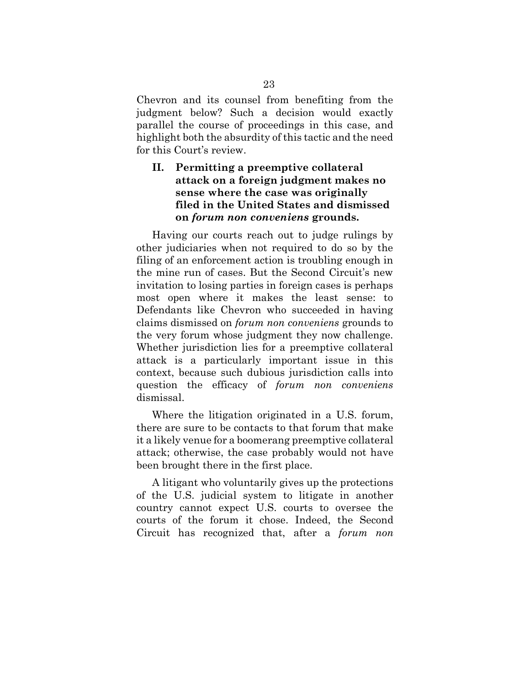Chevron and its counsel from benefiting from the judgment below? Such a decision would exactly parallel the course of proceedings in this case, and highlight both the absurdity of this tactic and the need for this Court's review.

## **II. Permitting a preemptive collateral attack on a foreign judgment makes no sense where the case was originally filed in the United States and dismissed on** *forum non conveniens* **grounds.**

Having our courts reach out to judge rulings by other judiciaries when not required to do so by the filing of an enforcement action is troubling enough in the mine run of cases. But the Second Circuit's new invitation to losing parties in foreign cases is perhaps most open where it makes the least sense: to Defendants like Chevron who succeeded in having claims dismissed on *forum non conveniens* grounds to the very forum whose judgment they now challenge. Whether jurisdiction lies for a preemptive collateral attack is a particularly important issue in this context, because such dubious jurisdiction calls into question the efficacy of *forum non conveniens* dismissal.

Where the litigation originated in a U.S. forum, there are sure to be contacts to that forum that make it a likely venue for a boomerang preemptive collateral attack; otherwise, the case probably would not have been brought there in the first place.

A litigant who voluntarily gives up the protections of the U.S. judicial system to litigate in another country cannot expect U.S. courts to oversee the courts of the forum it chose. Indeed, the Second Circuit has recognized that, after a *forum non*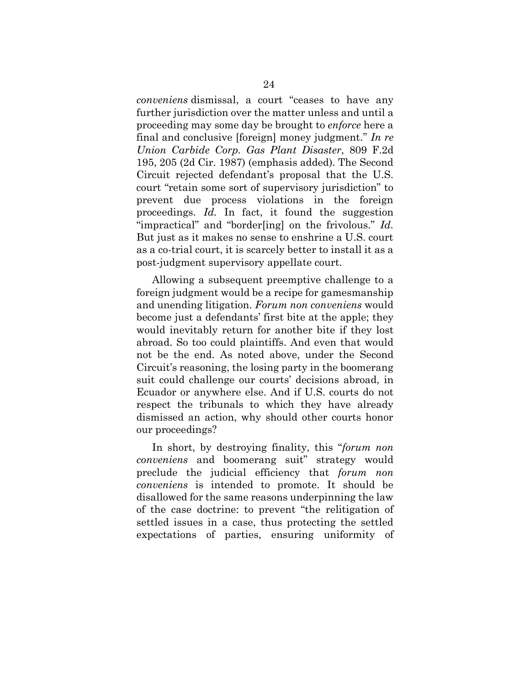*conveniens* dismissal, a court "ceases to have any further jurisdiction over the matter unless and until a proceeding may some day be brought to *enforce* here a final and conclusive [foreign] money judgment." *In re Union Carbide Corp. Gas Plant Disaster*, 809 F.2d 195, 205 (2d Cir. 1987) (emphasis added). The Second Circuit rejected defendant's proposal that the U.S. court "retain some sort of supervisory jurisdiction" to prevent due process violations in the foreign proceedings. *Id.* In fact, it found the suggestion "impractical" and "border[ing] on the frivolous." *Id.* But just as it makes no sense to enshrine a U.S. court as a co-trial court, it is scarcely better to install it as a post-judgment supervisory appellate court.

Allowing a subsequent preemptive challenge to a foreign judgment would be a recipe for gamesmanship and unending litigation. *Forum non conveniens* would become just a defendants' first bite at the apple; they would inevitably return for another bite if they lost abroad. So too could plaintiffs. And even that would not be the end. As noted above, under the Second Circuit's reasoning, the losing party in the boomerang suit could challenge our courts' decisions abroad, in Ecuador or anywhere else. And if U.S. courts do not respect the tribunals to which they have already dismissed an action, why should other courts honor our proceedings?

In short, by destroying finality, this "forum non *conveniens* and boomerang suit" strategy would preclude the judicial efficiency that *forum non conveniens* is intended to promote. It should be disallowed for the same reasons underpinning the law of the case doctrine: to prevent ´the relitigation of settled issues in a case, thus protecting the settled expectations of parties, ensuring uniformity of